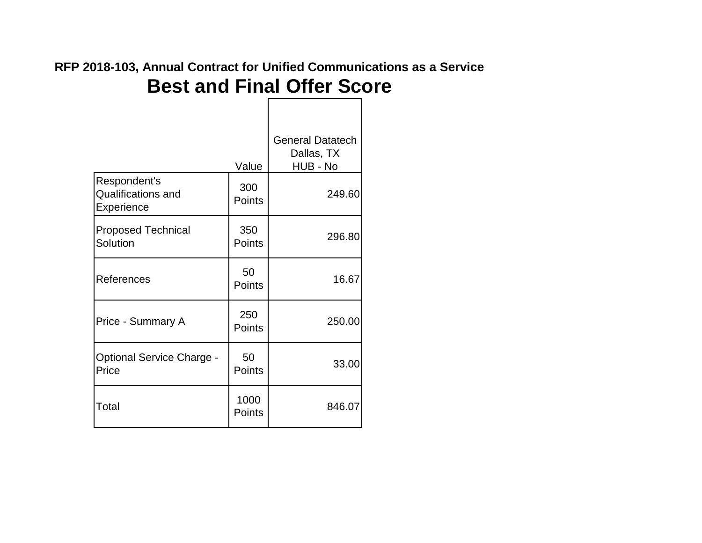|                                                         | Value          | <b>General Datatech</b><br>Dallas, TX<br>HUB - No |
|---------------------------------------------------------|----------------|---------------------------------------------------|
| Respondent's<br><b>Qualifications and</b><br>Experience | 300<br>Points  | 249.60                                            |
| <b>Proposed Technical</b><br>Solution                   | 350<br>Points  | 296.80                                            |
| References                                              | 50<br>Points   | 16.67                                             |
| Price - Summary A                                       | 250<br>Points  | 250.00                                            |
| <b>Optional Service Charge -</b><br>Price               | 50<br>Points   | 33.00                                             |
| Total                                                   | 1000<br>Points | 846.07                                            |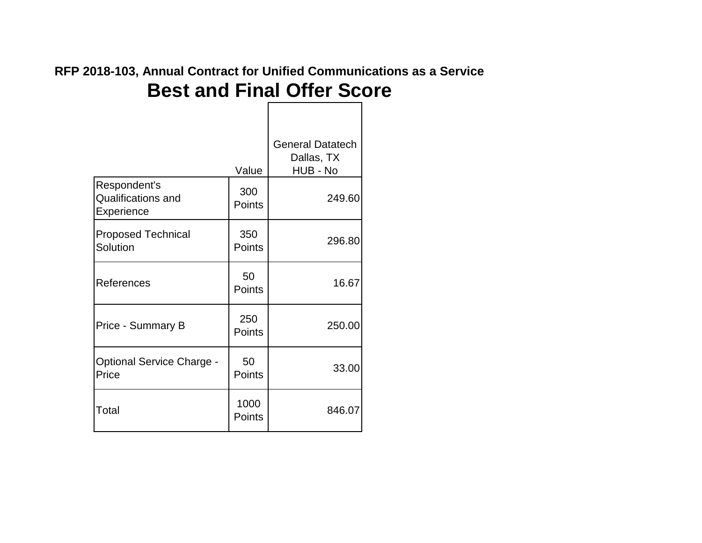|                                                         | Value          | <b>General Datatech</b><br>Dallas, TX<br>HUB - No |
|---------------------------------------------------------|----------------|---------------------------------------------------|
| Respondent's<br><b>Qualifications and</b><br>Experience | 300<br>Points  | 249.60                                            |
| <b>Proposed Technical</b><br>Solution                   | 350<br>Points  | 296.80                                            |
| References                                              | 50<br>Points   | 16.67                                             |
| <b>Price - Summary B</b>                                | 250<br>Points  | 250.00                                            |
| <b>Optional Service Charge -</b><br>Price               | 50<br>Points   | 33.00                                             |
| Total                                                   | 1000<br>Points | 846.07                                            |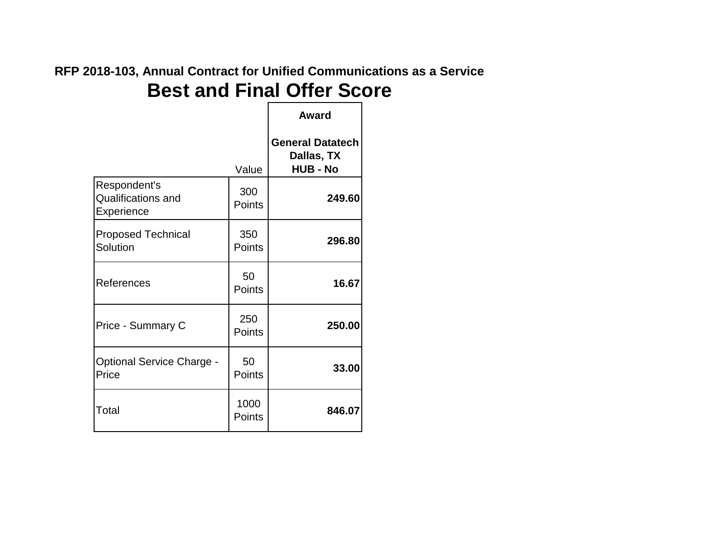#### **Best and Final Offer Score RFP 2018-103, Annual Contract for Unified Communications as a Service**

|                                                         |                | Award                                                    |
|---------------------------------------------------------|----------------|----------------------------------------------------------|
|                                                         | Value          | <b>General Datatech</b><br>Dallas, TX<br><b>HUB - No</b> |
| Respondent's<br><b>Qualifications and</b><br>Experience | 300<br>Points  | 249.60                                                   |
| <b>Proposed Technical</b><br>Solution                   | 350<br>Points  | 296.80                                                   |
| References                                              | 50<br>Points   | 16.67                                                    |
| <b>Price - Summary C</b>                                | 250<br>Points  | 250.00                                                   |
| <b>Optional Service Charge -</b><br>Price               | 50<br>Points   | 33.00                                                    |
| Total                                                   | 1000<br>Points | 846.07                                                   |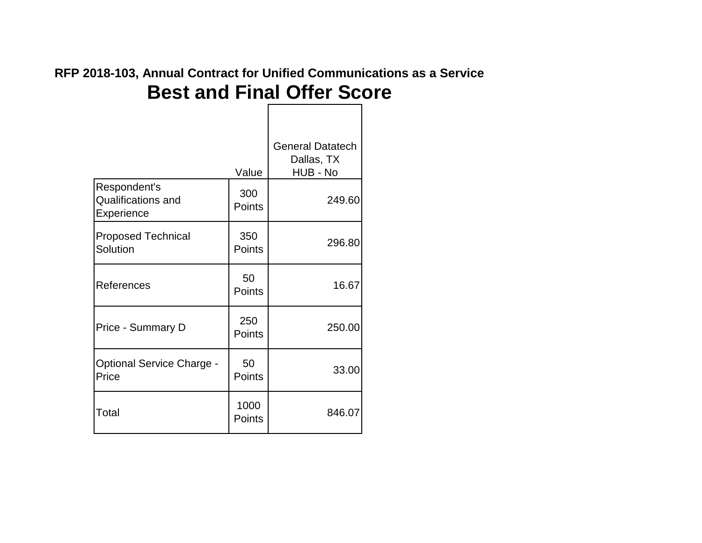|                                                         | Value          | <b>General Datatech</b><br>Dallas, TX<br>HUB - No |
|---------------------------------------------------------|----------------|---------------------------------------------------|
| Respondent's<br><b>Qualifications and</b><br>Experience | 300<br>Points  | 249.60                                            |
| <b>Proposed Technical</b><br>Solution                   | 350<br>Points  | 296.80                                            |
| References                                              | 50<br>Points   | 16.67                                             |
| <b>Price - Summary D</b>                                | 250<br>Points  | 250.00                                            |
| <b>Optional Service Charge -</b><br>Price               | 50<br>Points   | 33.00                                             |
| Total                                                   | 1000<br>Points | 846.07                                            |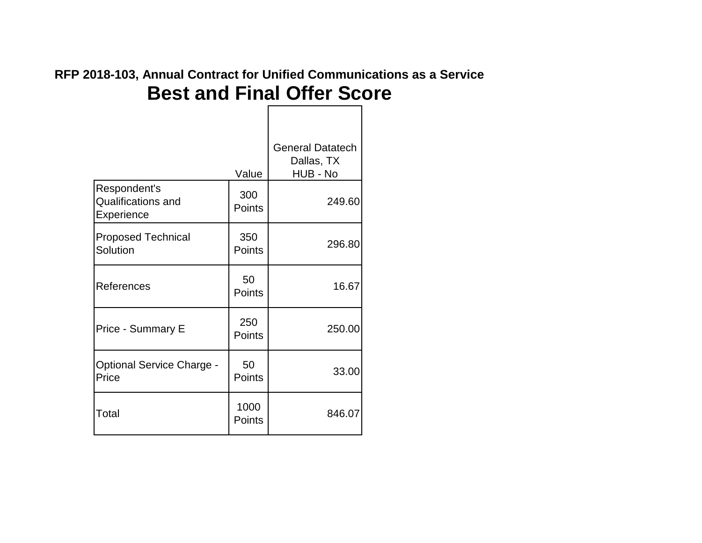$\mathbf{I}$ 

|                                                         | Value          | <b>General Datatech</b><br>Dallas, TX<br>HUB - No |
|---------------------------------------------------------|----------------|---------------------------------------------------|
| Respondent's<br><b>Qualifications and</b><br>Experience | 300<br>Points  | 249.60                                            |
| <b>Proposed Technical</b><br>Solution                   | 350<br>Points  | 296.80                                            |
| References                                              | 50<br>Points   | 16.67                                             |
| Price - Summary E                                       | 250<br>Points  | 250.00                                            |
| <b>Optional Service Charge -</b><br>Price               | 50<br>Points   | 33.00                                             |
| Total                                                   | 1000<br>Points | 846.07                                            |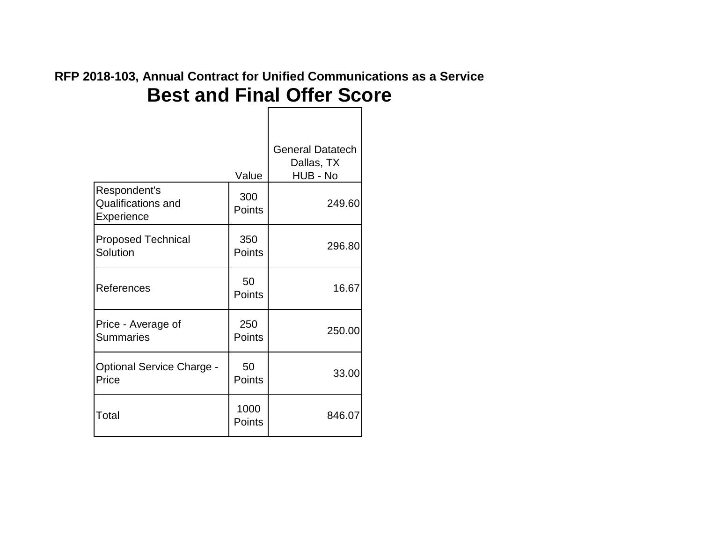|                                                         | Value          | <b>General Datatech</b><br>Dallas, TX<br>HUB - No |
|---------------------------------------------------------|----------------|---------------------------------------------------|
| Respondent's<br><b>Qualifications and</b><br>Experience | 300<br>Points  | 249.60                                            |
| <b>Proposed Technical</b><br>Solution                   | 350<br>Points  | 296.80                                            |
| References                                              | 50<br>Points   | 16.67                                             |
| Price - Average of<br><b>Summaries</b>                  | 250<br>Points  | 250.00                                            |
| <b>Optional Service Charge -</b><br>Price               | 50<br>Points   | 33.00                                             |
| Total                                                   | 1000<br>Points | 846.07                                            |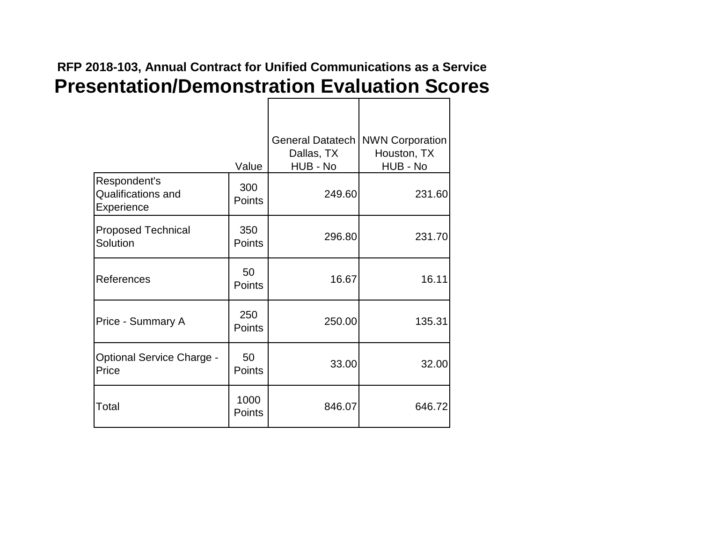|                                                         | Value          | <b>General Datatech</b><br>Dallas, TX<br>HUB - No | <b>NWN Corporation</b><br>Houston, TX<br>HUB - No |
|---------------------------------------------------------|----------------|---------------------------------------------------|---------------------------------------------------|
| Respondent's<br><b>Qualifications and</b><br>Experience | 300<br>Points  | 249.60                                            | 231.60                                            |
| <b>Proposed Technical</b><br>Solution                   | 350<br>Points  | 296.80                                            | 231.70                                            |
| References                                              | 50<br>Points   | 16.67                                             | 16.11                                             |
| Price - Summary A                                       | 250<br>Points  | 250.00                                            | 135.31                                            |
| <b>Optional Service Charge -</b><br>Price               | 50<br>Points   | 33.00                                             | 32.00                                             |
| Total                                                   | 1000<br>Points | 846.07                                            | 646.72                                            |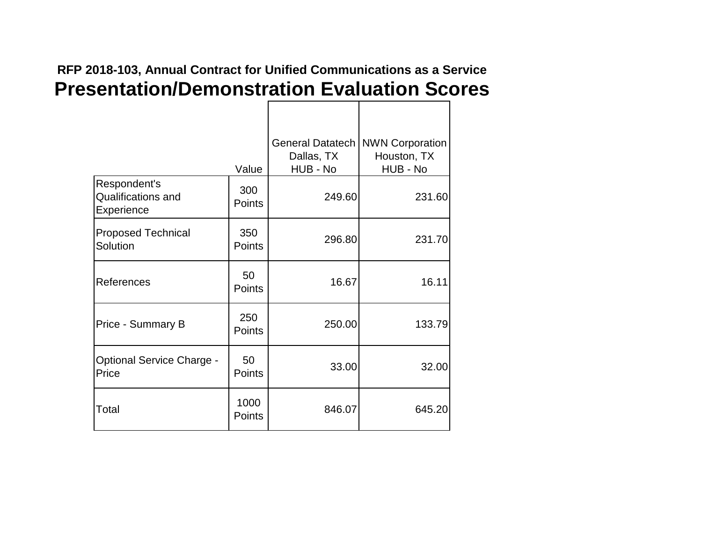|                                                         | Value                | <b>General Datatech</b><br>Dallas, TX<br>HUB - No | <b>NWN Corporation</b><br>Houston, TX<br>HUB - No |
|---------------------------------------------------------|----------------------|---------------------------------------------------|---------------------------------------------------|
| Respondent's<br><b>Qualifications and</b><br>Experience | 300<br>Points        | 249.60                                            | 231.60                                            |
| <b>Proposed Technical</b><br>Solution                   | 350<br>Points        | 296.80                                            | 231.70                                            |
| References                                              | 50<br><b>Points</b>  | 16.67                                             | 16.11                                             |
| Price - Summary B                                       | 250<br><b>Points</b> | 250.00                                            | 133.79                                            |
| <b>Optional Service Charge -</b><br>Price               | 50<br>Points         | 33.00                                             | 32.00                                             |
| Total                                                   | 1000<br>Points       | 846.07                                            | 645.20                                            |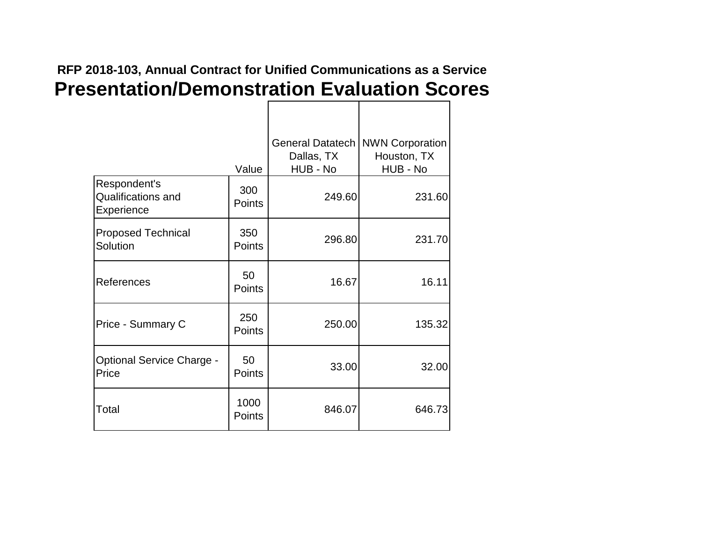#### **Presentation/Demonstration Evaluation Scores RFP 2018-103, Annual Contract for Unified Communications as a Service**

|                                                         | Value                | <b>General Datatech</b><br>Dallas, TX<br>HUB - No | <b>NWN Corporation</b><br>Houston, TX<br>HUB - No |
|---------------------------------------------------------|----------------------|---------------------------------------------------|---------------------------------------------------|
| Respondent's<br><b>Qualifications and</b><br>Experience | 300<br>Points        | 249.60                                            | 231.60                                            |
| <b>Proposed Technical</b><br>Solution                   | 350<br>Points        | 296.80                                            | 231.70                                            |
| References                                              | 50<br><b>Points</b>  | 16.67                                             | 16.11                                             |
| Price - Summary C                                       | 250<br><b>Points</b> | 250.00                                            | 135.32                                            |
| <b>Optional Service Charge -</b><br>Price               | 50<br>Points         | 33.00                                             | 32.00                                             |
| Total                                                   | 1000<br>Points       | 846.07                                            | 646.73                                            |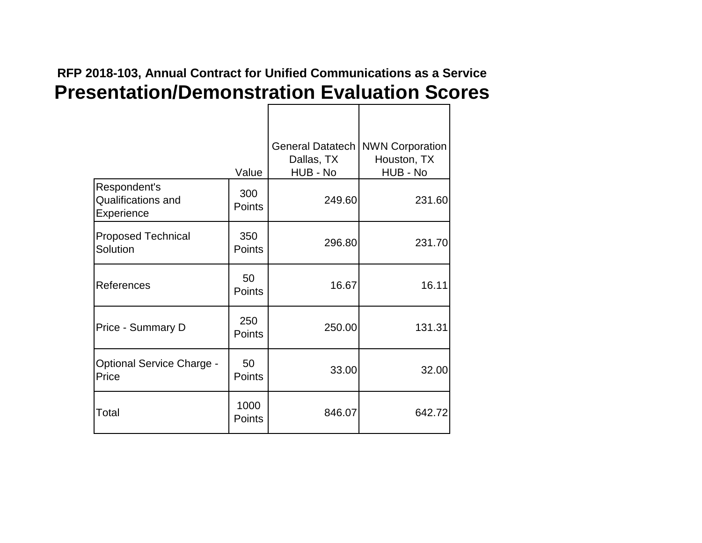|                                                         | Value          | <b>General Datatech</b><br>Dallas, TX<br>HUB - No | <b>NWN Corporation</b><br>Houston, TX<br>HUB - No |
|---------------------------------------------------------|----------------|---------------------------------------------------|---------------------------------------------------|
| Respondent's<br><b>Qualifications and</b><br>Experience | 300<br>Points  | 249.60                                            | 231.60                                            |
| <b>Proposed Technical</b><br>Solution                   | 350<br>Points  | 296.80                                            | 231.70                                            |
| References                                              | 50<br>Points   | 16.67                                             | 16.11                                             |
| Price - Summary D                                       | 250<br>Points  | 250.00                                            | 131.31                                            |
| <b>Optional Service Charge -</b><br>Price               | 50<br>Points   | 33.00                                             | 32.00                                             |
| Total                                                   | 1000<br>Points | 846.07                                            | 642.72                                            |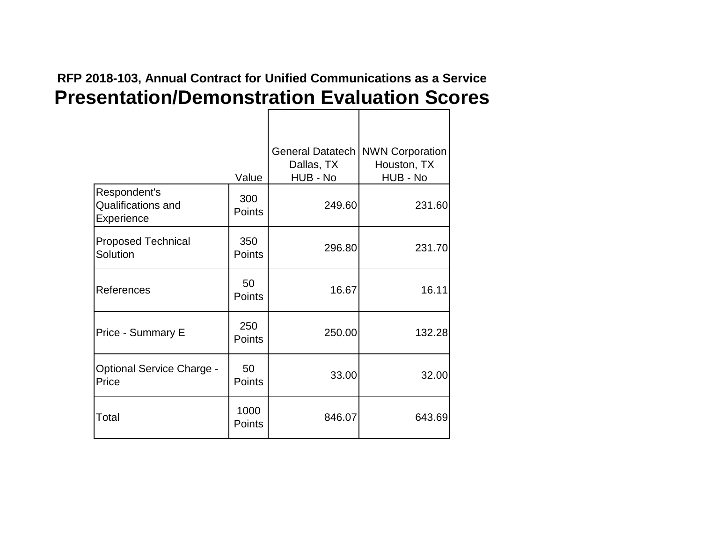|                                                         | Value                 | <b>General Datatech</b><br>Dallas, TX<br>HUB - No | <b>NWN Corporation</b><br>Houston, TX<br>HUB - No |
|---------------------------------------------------------|-----------------------|---------------------------------------------------|---------------------------------------------------|
| Respondent's<br><b>Qualifications and</b><br>Experience | 300<br><b>Points</b>  | 249.60                                            | 231.60                                            |
| <b>Proposed Technical</b><br>Solution                   | 350<br>Points         | 296.80                                            | 231.70                                            |
| References                                              | 50<br><b>Points</b>   | 16.67                                             | 16.11                                             |
| Price - Summary E                                       | 250<br><b>Points</b>  | 250.00                                            | 132.28                                            |
| <b>Optional Service Charge -</b><br>Price               | 50<br><b>Points</b>   | 33.00                                             | 32.00                                             |
| Total                                                   | 1000<br><b>Points</b> | 846.07                                            | 643.69                                            |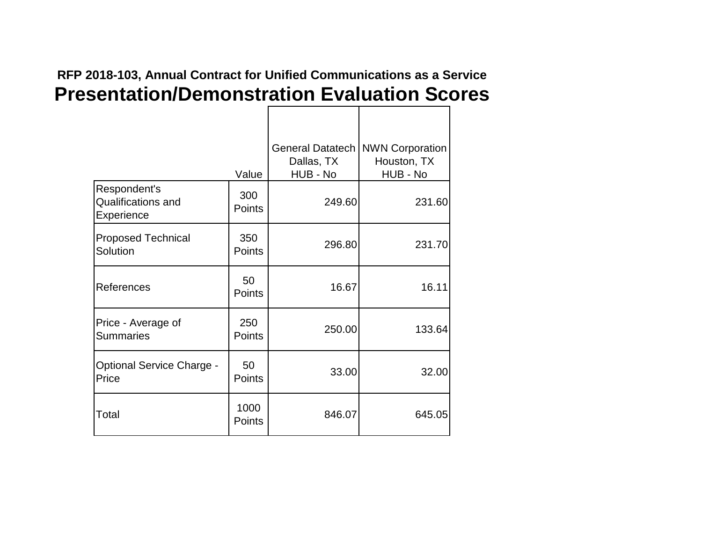|                                                         | Value                | <b>General Datatech</b><br>Dallas, TX<br>HUB - No | <b>NWN Corporation</b><br>Houston, TX<br>HUB - No |
|---------------------------------------------------------|----------------------|---------------------------------------------------|---------------------------------------------------|
| Respondent's<br><b>Qualifications and</b><br>Experience | 300<br><b>Points</b> | 249.60                                            | 231.60                                            |
| <b>Proposed Technical</b><br>Solution                   | 350<br><b>Points</b> | 296.80                                            | 231.70                                            |
| References                                              | 50<br>Points         | 16.67                                             | 16.11                                             |
| Price - Average of<br><b>Summaries</b>                  | 250<br>Points        | 250.00                                            | 133.64                                            |
| <b>Optional Service Charge -</b><br>Price               | 50<br>Points         | 33.00                                             | 32.00                                             |
| Total                                                   | 1000<br>Points       | 846.07                                            | 645.05                                            |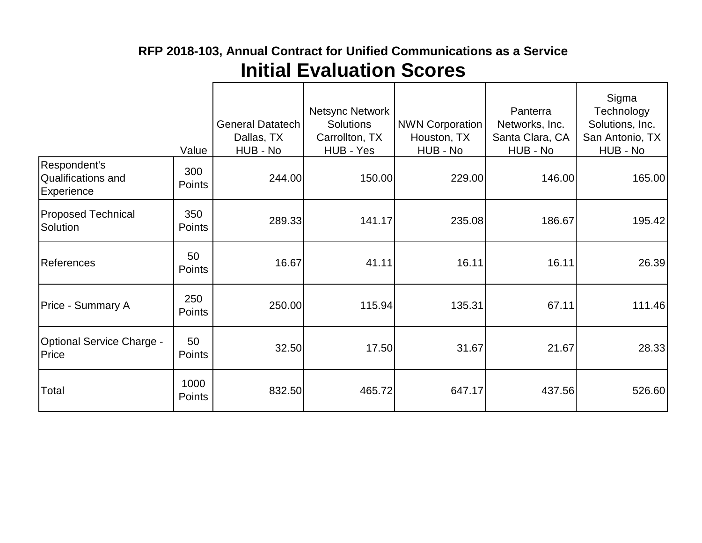|                                                  | Value          | General Datatech<br>Dallas, TX<br>HUB - No | <b>Netsync Network</b><br><b>Solutions</b><br>Carrollton, TX<br>HUB - Yes | <b>NWN Corporation</b><br>Houston, TX<br>HUB - No | Panterra<br>Networks, Inc.<br>Santa Clara, CA<br>HUB - No | Sigma<br>Technology<br>Solutions, Inc.<br>San Antonio, TX<br>HUB - No |
|--------------------------------------------------|----------------|--------------------------------------------|---------------------------------------------------------------------------|---------------------------------------------------|-----------------------------------------------------------|-----------------------------------------------------------------------|
| Respondent's<br>Qualifications and<br>Experience | 300<br>Points  | 244.00                                     | 150.00                                                                    | 229.00                                            | 146.00                                                    | 165.00                                                                |
| <b>Proposed Technical</b><br>Solution            | 350<br>Points  | 289.33                                     | 141.17                                                                    | 235.08                                            | 186.67                                                    | 195.42                                                                |
| <b>References</b>                                | 50<br>Points   | 16.67                                      | 41.11                                                                     | 16.11                                             | 16.11                                                     | 26.39                                                                 |
| Price - Summary A                                | 250<br>Points  | 250.00                                     | 115.94                                                                    | 135.31                                            | 67.11                                                     | 111.46                                                                |
| <b>Optional Service Charge -</b><br>Price        | 50<br>Points   | 32.50                                      | 17.50                                                                     | 31.67                                             | 21.67                                                     | 28.33                                                                 |
| Total                                            | 1000<br>Points | 832.50                                     | 465.72                                                                    | 647.17                                            | 437.56                                                    | 526.60                                                                |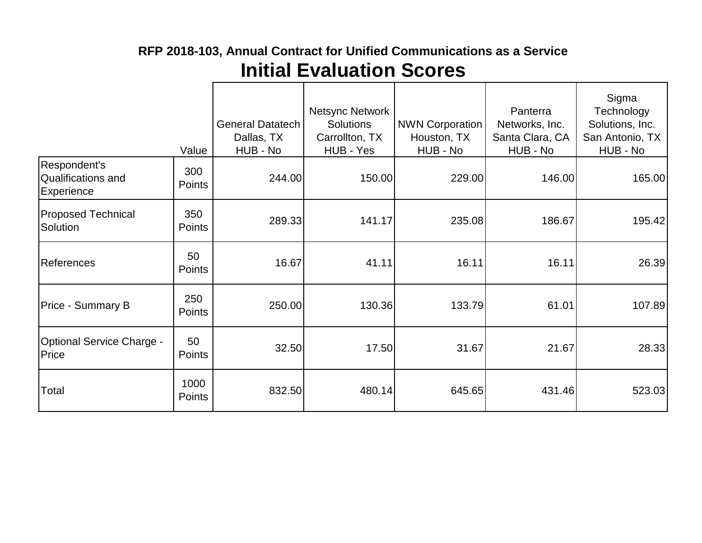|                                                                | Value          | <b>General Datatech</b><br>Dallas, TX<br>HUB - No | Netsync Network<br><b>Solutions</b><br>Carrollton, TX<br>HUB - Yes | <b>NWN Corporation</b><br>Houston, TX<br>HUB - No | Panterra<br>Networks, Inc.<br>Santa Clara, CA<br>HUB - No | Sigma<br>Technology<br>Solutions, Inc.<br>San Antonio, TX<br>HUB - No |
|----------------------------------------------------------------|----------------|---------------------------------------------------|--------------------------------------------------------------------|---------------------------------------------------|-----------------------------------------------------------|-----------------------------------------------------------------------|
| Respondent's<br><b>Qualifications and</b><br><b>Experience</b> | 300<br>Points  | 244.00                                            | 150.00                                                             | 229.00                                            | 146.00                                                    | 165.00                                                                |
| <b>Proposed Technical</b><br>Solution                          | 350<br>Points  | 289.33                                            | 141.17                                                             | 235.08                                            | 186.67                                                    | 195.42                                                                |
| <b>References</b>                                              | 50<br>Points   | 16.67                                             | 41.11                                                              | 16.11                                             | 16.11                                                     | 26.39                                                                 |
| <b>Price - Summary B</b>                                       | 250<br>Points  | 250.00                                            | 130.36                                                             | 133.79                                            | 61.01                                                     | 107.89                                                                |
| <b>Optional Service Charge -</b><br>Price                      | 50<br>Points   | 32.50                                             | 17.50                                                              | 31.67                                             | 21.67                                                     | 28.33                                                                 |
| Total                                                          | 1000<br>Points | 832.50                                            | 480.14                                                             | 645.65                                            | 431.46                                                    | 523.03                                                                |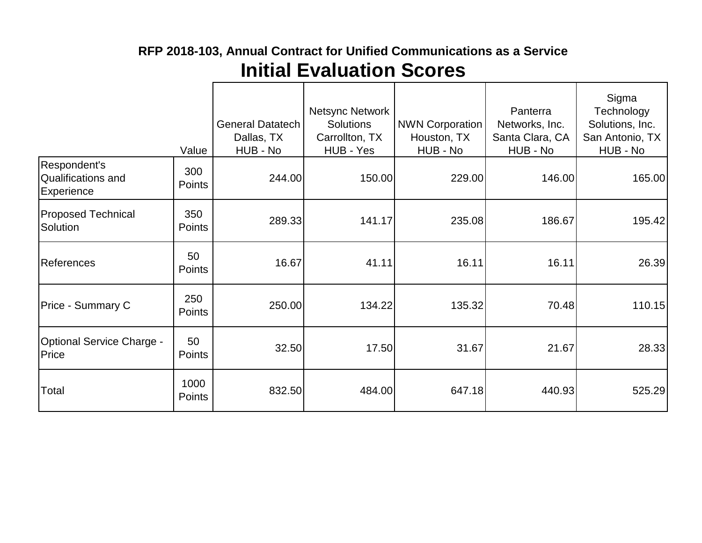|                                                                | Value          | <b>General Datatech</b><br>Dallas, TX<br>HUB - No | Netsync Network<br><b>Solutions</b><br>Carrollton, TX<br>HUB - Yes | <b>NWN Corporation</b><br>Houston, TX<br>HUB - No | Panterra<br>Networks, Inc.<br>Santa Clara, CA<br>HUB - No | Sigma<br>Technology<br>Solutions, Inc.<br>San Antonio, TX<br>HUB - No |
|----------------------------------------------------------------|----------------|---------------------------------------------------|--------------------------------------------------------------------|---------------------------------------------------|-----------------------------------------------------------|-----------------------------------------------------------------------|
| Respondent's<br><b>Qualifications and</b><br><b>Experience</b> | 300<br>Points  | 244.00                                            | 150.00                                                             | 229.00                                            | 146.00                                                    | 165.00                                                                |
| <b>Proposed Technical</b><br>Solution                          | 350<br>Points  | 289.33                                            | 141.17                                                             | 235.08                                            | 186.67                                                    | 195.42                                                                |
| <b>References</b>                                              | 50<br>Points   | 16.67                                             | 41.11                                                              | 16.11                                             | 16.11                                                     | 26.39                                                                 |
| Price - Summary C                                              | 250<br>Points  | 250.00                                            | 134.22                                                             | 135.32                                            | 70.48                                                     | 110.15                                                                |
| <b>Optional Service Charge -</b><br>Price                      | 50<br>Points   | 32.50                                             | 17.50                                                              | 31.67                                             | 21.67                                                     | 28.33                                                                 |
| Total                                                          | 1000<br>Points | 832.50                                            | 484.00                                                             | 647.18                                            | 440.93                                                    | 525.29                                                                |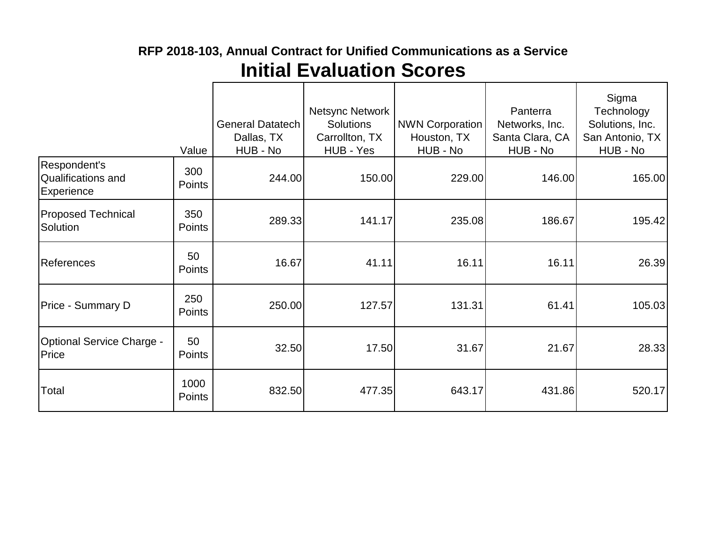# **Initial Evaluation Scores RFP 2018-103, Annual Contract for Unified Communications as a Service**

|                                                         | Value                | General Datatech<br>Dallas, TX<br>HUB - No | Netsync Network<br><b>Solutions</b><br>Carrollton, TX<br>HUB - Yes | <b>NWN Corporation</b><br>Houston, TX<br>HUB - No | Panterra<br>Networks, Inc.<br>Santa Clara, CA<br>HUB - No | Sigma<br>Technology<br>Solutions, Inc.<br>San Antonio, TX<br>HUB - No |
|---------------------------------------------------------|----------------------|--------------------------------------------|--------------------------------------------------------------------|---------------------------------------------------|-----------------------------------------------------------|-----------------------------------------------------------------------|
| Respondent's<br><b>Qualifications and</b><br>Experience | 300<br><b>Points</b> | 244.00                                     | 150.00                                                             | 229.00                                            | 146.00                                                    | 165.00                                                                |
| <b>Proposed Technical</b><br>Solution                   | 350<br>Points        | 289.33                                     | 141.17                                                             | 235.08                                            | 186.67                                                    | 195.42                                                                |
| <b>References</b>                                       | 50<br>Points         | 16.67                                      | 41.11                                                              | 16.11                                             | 16.11                                                     | 26.39                                                                 |
| Price - Summary D                                       | 250<br>Points        | 250.00                                     | 127.57                                                             | 131.31                                            | 61.41                                                     | 105.03                                                                |
| <b>Optional Service Charge -</b><br>Price               | 50<br>Points         | 32.50                                      | 17.50                                                              | 31.67                                             | 21.67                                                     | 28.33                                                                 |
| Total                                                   | 1000<br>Points       | 832.50                                     | 477.35                                                             | 643.17                                            | 431.86                                                    | 520.17                                                                |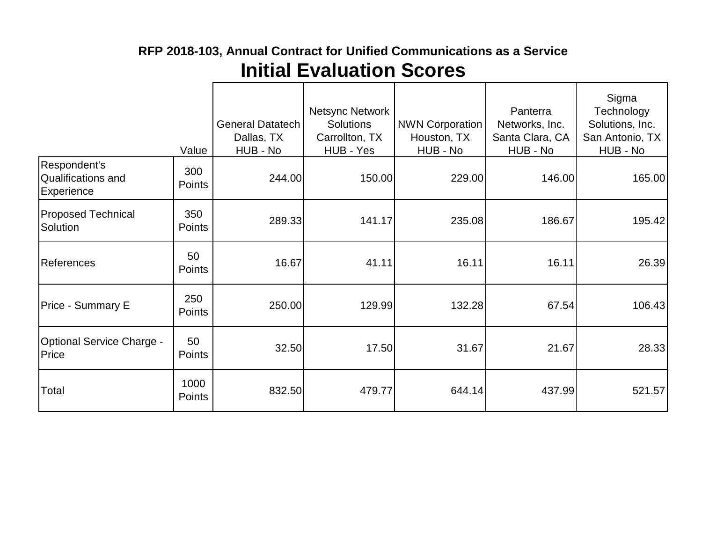|                                                  | Value                | General Datatech<br>Dallas, TX<br>HUB - No | <b>Netsync Network</b><br><b>Solutions</b><br>Carrollton, TX<br>HUB - Yes | <b>NWN Corporation</b><br>Houston, TX<br>HUB - No | Panterra<br>Networks, Inc.<br>Santa Clara, CA<br>HUB - No | Sigma<br>Technology<br>Solutions, Inc.<br>San Antonio, TX<br>HUB - No |
|--------------------------------------------------|----------------------|--------------------------------------------|---------------------------------------------------------------------------|---------------------------------------------------|-----------------------------------------------------------|-----------------------------------------------------------------------|
| Respondent's<br>Qualifications and<br>Experience | 300<br><b>Points</b> | 244.00                                     | 150.00                                                                    | 229.00                                            | 146.00                                                    | 165.00                                                                |
| <b>Proposed Technical</b><br>Solution            | 350<br><b>Points</b> | 289.33                                     | 141.17                                                                    | 235.08                                            | 186.67                                                    | 195.42                                                                |
| <b>References</b>                                | 50<br>Points         | 16.67                                      | 41.11                                                                     | 16.11                                             | 16.11                                                     | 26.39                                                                 |
| Price - Summary E                                | 250<br>Points        | 250.00                                     | 129.99                                                                    | 132.28                                            | 67.54                                                     | 106.43                                                                |
| <b>Optional Service Charge -</b><br>Price        | 50<br>Points         | 32.50                                      | 17.50                                                                     | 31.67                                             | 21.67                                                     | 28.33                                                                 |
| Total                                            | 1000<br>Points       | 832.50                                     | 479.77                                                                    | 644.14                                            | 437.99                                                    | 521.57                                                                |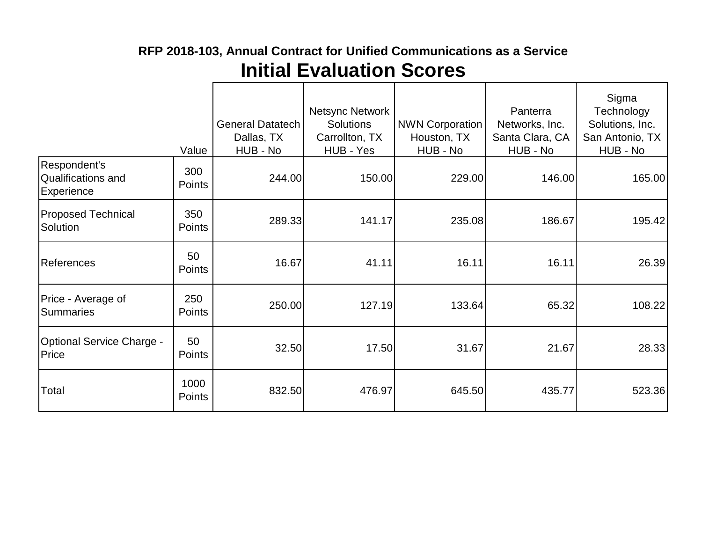|                                                                | Value          | <b>General Datatech</b><br>Dallas, TX<br>HUB - No | Netsync Network<br><b>Solutions</b><br>Carrollton, TX<br>HUB - Yes | <b>NWN Corporation</b><br>Houston, TX<br>HUB - No | Panterra<br>Networks, Inc.<br>Santa Clara, CA<br>HUB - No | Sigma<br>Technology<br>Solutions, Inc.<br>San Antonio, TX<br>HUB - No |
|----------------------------------------------------------------|----------------|---------------------------------------------------|--------------------------------------------------------------------|---------------------------------------------------|-----------------------------------------------------------|-----------------------------------------------------------------------|
| Respondent's<br><b>Qualifications and</b><br><b>Experience</b> | 300<br>Points  | 244.00                                            | 150.00                                                             | 229.00                                            | 146.00                                                    | 165.00                                                                |
| <b>Proposed Technical</b><br>Solution                          | 350<br>Points  | 289.33                                            | 141.17                                                             | 235.08                                            | 186.67                                                    | 195.42                                                                |
| <b>References</b>                                              | 50<br>Points   | 16.67                                             | 41.11                                                              | 16.11                                             | 16.11                                                     | 26.39                                                                 |
| Price - Average of<br><b>Summaries</b>                         | 250<br>Points  | 250.00                                            | 127.19                                                             | 133.64                                            | 65.32                                                     | 108.22                                                                |
| <b>Optional Service Charge -</b><br>Price                      | 50<br>Points   | 32.50                                             | 17.50                                                              | 31.67                                             | 21.67                                                     | 28.33                                                                 |
| Total                                                          | 1000<br>Points | 832.50                                            | 476.97                                                             | 645.50                                            | 435.77                                                    | 523.36                                                                |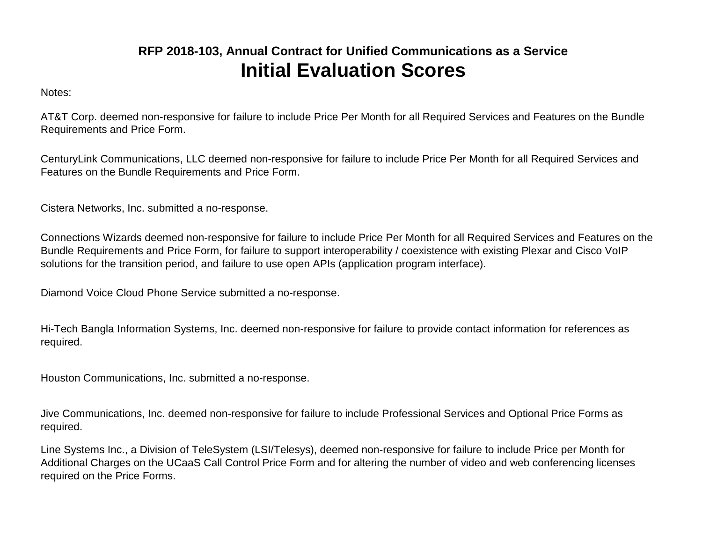Notes:

AT&T Corp. deemed non-responsive for failure to include Price Per Month for all Required Services and Features on the Bundle Requirements and Price Form.

CenturyLink Communications, LLC deemed non-responsive for failure to include Price Per Month for all Required Services and Features on the Bundle Requirements and Price Form.

Cistera Networks, Inc. submitted a no-response.

Connections Wizards deemed non-responsive for failure to include Price Per Month for all Required Services and Features on the Bundle Requirements and Price Form, for failure to support interoperability / coexistence with existing Plexar and Cisco VoIP solutions for the transition period, and failure to use open APIs (application program interface).

Diamond Voice Cloud Phone Service submitted a no-response.

Hi-Tech Bangla Information Systems, Inc. deemed non-responsive for failure to provide contact information for references as required.

Houston Communications, Inc. submitted a no-response.

Jive Communications, Inc. deemed non-responsive for failure to include Professional Services and Optional Price Forms as required.

Line Systems Inc., a Division of TeleSystem (LSI/Telesys), deemed non-responsive for failure to include Price per Month for Additional Charges on the UCaaS Call Control Price Form and for altering the number of video and web conferencing licenses required on the Price Forms.